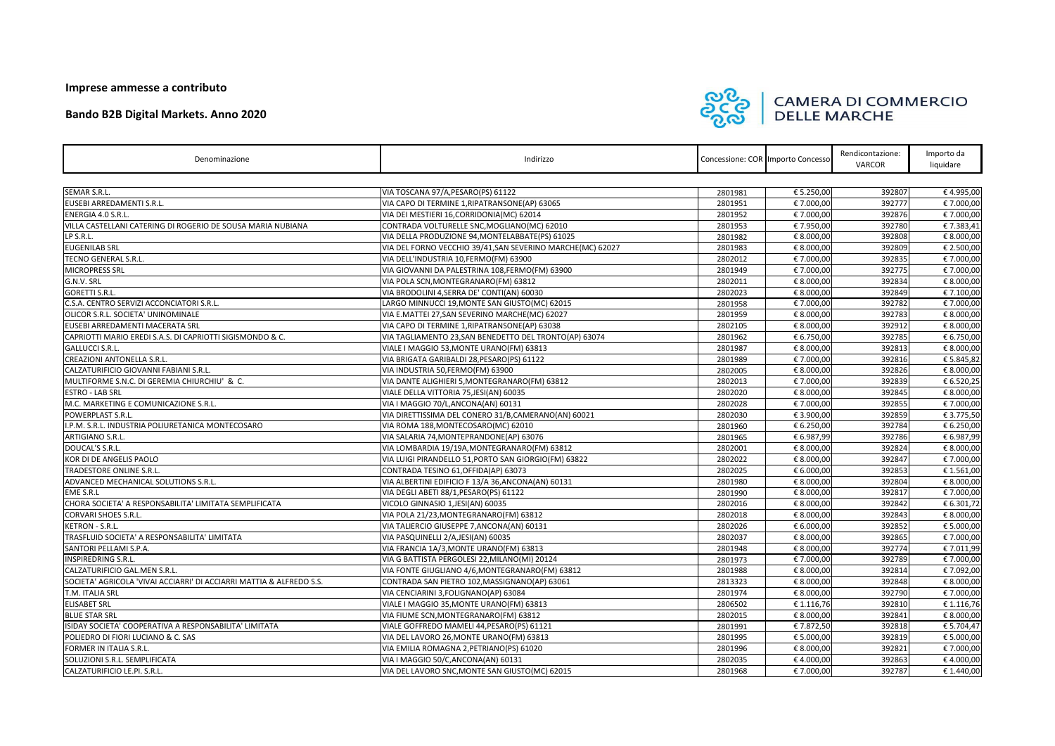## **Imprese ammesse a contributo**

| Denominazione                                                        | Indirizzo                                                  |         | Concessione: COR Importo Concesso | Rendicontazione:<br><b>VARCOR</b> | Importo da<br>liquidare |  |
|----------------------------------------------------------------------|------------------------------------------------------------|---------|-----------------------------------|-----------------------------------|-------------------------|--|
|                                                                      |                                                            |         |                                   |                                   |                         |  |
| <b>SEMAR S.R.L.</b>                                                  | VIA TOSCANA 97/A, PESARO (PS) 61122                        | 2801981 | € 5.250,00                        | 392807                            | €4.995,00               |  |
| EUSEBI ARREDAMENTI S.R.L.                                            | VIA CAPO DI TERMINE 1, RIPATRANSONE(AP) 63065              | 2801951 | € 7.000,00                        | 392777                            | € 7.000,00              |  |
| <b>ENERGIA 4.0 S.R.L.</b>                                            | VIA DEI MESTIERI 16, CORRIDONIA (MC) 62014                 | 2801952 | € 7.000,00                        | 392876                            | € 7.000,00              |  |
| VILLA CASTELLANI CATERING DI ROGERIO DE SOUSA MARIA NUBIANA          | CONTRADA VOLTURELLE SNC, MOGLIANO(MC) 62010                | 2801953 | € 7.950,00                        | 392780                            | € 7.383,41              |  |
| LP S.R.L.                                                            | VIA DELLA PRODUZIONE 94, MONTELABBATE(PS) 61025            | 2801982 | € 8.000,00                        | 392808                            | € 8.000,00              |  |
| <b>EUGENILAB SRL</b>                                                 | VIA DEL FORNO VECCHIO 39/41, SAN SEVERINO MARCHE(MC) 62027 | 2801983 | € 8.000,00                        | 392809                            | € 2.500,00              |  |
| TECNO GENERAL S.R.L.                                                 | VIA DELL'INDUSTRIA 10, FERMO(FM) 63900                     | 2802012 | € 7.000,00                        | 392835                            | € 7.000,00              |  |
| <b>MICROPRESS SRL</b>                                                | VIA GIOVANNI DA PALESTRINA 108,FERMO(FM) 63900             | 2801949 | € 7.000,00                        | 392775                            | € 7.000,00              |  |
| G.N.V. SRL                                                           | VIA POLA SCN, MONTEGRANARO (FM) 63812                      | 2802011 | € 8.000,00                        | 392834                            | € 8.000,00              |  |
| GORETTI S.R.L.                                                       | VIA BRODOLINI 4, SERRA DE' CONTI(AN) 60030                 | 2802023 | € 8.000,00                        | 392849                            | € 7.100,00              |  |
| C.S.A. CENTRO SERVIZI ACCONCIATORI S.R.L.                            | LARGO MINNUCCI 19, MONTE SAN GIUSTO(MC) 62015              | 2801958 | € 7.000,00                        | 392782                            | € 7.000,00              |  |
| <b>OLICOR S.R.L. SOCIETA' UNINOMINALE</b>                            | VIA E.MATTEI 27, SAN SEVERINO MARCHE(MC) 62027             | 2801959 | € 8.000,00                        | 392783                            | € 8.000,00              |  |
| EUSEBI ARREDAMENTI MACERATA SRL                                      | VIA CAPO DI TERMINE 1, RIPATRANSONE(AP) 63038              | 2802105 | € 8.000,00                        | 392912                            | € 8.000,00              |  |
| CAPRIOTTI MARIO EREDI S.A.S. DI CAPRIOTTI SIGISMONDO & C.            | VIA TAGLIAMENTO 23, SAN BENEDETTO DEL TRONTO(AP) 63074     | 2801962 | € 6.750,00                        | 392785                            | € 6.750,00              |  |
| <b>GALLUCCI S.R.L.</b>                                               | VIALE I MAGGIO 53, MONTE URANO (FM) 63813                  | 2801987 | € 8.000,00                        | 392813                            | € 8.000,00              |  |
| <b>CREAZIONI ANTONELLA S.R.L.</b>                                    | VIA BRIGATA GARIBALDI 28, PESARO(PS) 61122                 | 2801989 | € 7.000,00                        | 392816                            | € 5.845,82              |  |
| CALZATURIFICIO GIOVANNI FABIANI S.R.L.                               | VIA INDUSTRIA 50,FERMO(FM) 63900                           | 2802005 | € 8.000,00                        | 392826                            | € 8.000,00              |  |
| MULTIFORME S.N.C. DI GEREMIA CHIURCHIU' & C.                         | VIA DANTE ALIGHIERI 5, MONTEGRANARO (FM) 63812             | 2802013 | € 7.000,00                        | 392839                            | € 6.520,25              |  |
| <b>ESTRO - LAB SRL</b>                                               | VIALE DELLA VITTORIA 75, JESI(AN) 60035                    | 2802020 | € 8.000,00                        | 392845                            | € 8.000,00              |  |
| M.C. MARKETING E COMUNICAZIONE S.R.L.                                | VIA I MAGGIO 70/L, ANCONA(AN) 60131                        | 2802028 | € 7.000,00                        | 392855                            | € 7.000,00              |  |
| POWERPLAST S.R.L.                                                    | VIA DIRETTISSIMA DEL CONERO 31/B, CAMERANO (AN) 60021      | 2802030 | € 3.900,00                        | 392859                            | € 3.775,50              |  |
| I.P.M. S.R.L. INDUSTRIA POLIURETANICA MONTECOSARO                    | VIA ROMA 188, MONTECOSARO (MC) 62010                       | 2801960 | € 6.250,00                        | 392784                            | € 6.250,00              |  |
| <b>ARTIGIANO S.R.L.</b>                                              | VIA SALARIA 74, MONTEPRANDONE(AP) 63076                    | 2801965 | € 6.987,99                        | 392786                            | € 6.987,99              |  |
| DOUCAL'S S.R.L.                                                      | VIA LOMBARDIA 19/19A, MONTEGRANARO (FM) 63812              | 2802001 | € 8.000,00                        | 392824                            | € 8.000,00              |  |
| KOR DI DE ANGELIS PAOLO                                              | VIA LUIGI PIRANDELLO 51, PORTO SAN GIORGIO(FM) 63822       | 2802022 | € 8.000,00                        | 392847                            | € 7.000,00              |  |
| <b>TRADESTORE ONLINE S.R.L.</b>                                      | CONTRADA TESINO 61, OFFIDA(AP) 63073                       | 2802025 | € 6.000,00                        | 392853                            | € 1.561,00              |  |
| ADVANCED MECHANICAL SOLUTIONS S.R.L.                                 | VIA ALBERTINI EDIFICIO F 13/A 36, ANCONA(AN) 60131         | 2801980 | € 8.000,00                        | 392804                            | € 8.000,00              |  |
| <b>EME S.R.L</b>                                                     | VIA DEGLI ABETI 88/1, PESARO(PS) 61122                     | 2801990 | € 8.000,00                        | 392817                            | € 7.000,00              |  |
| CHORA SOCIETA' A RESPONSABILITA' LIMITATA SEMPLIFICATA               | VICOLO GINNASIO 1, JESI(AN) 60035                          | 2802016 | € 8.000,00                        | 392842                            | € 6.301,72              |  |
| CORVARI SHOES S.R.L.                                                 | VIA POLA 21/23, MONTEGRANARO (FM) 63812                    | 2802018 | € 8.000,00                        | 392843                            | € 8.000,00              |  |
| KETRON - S.R.L.                                                      | VIA TALIERCIO GIUSEPPE 7,ANCONA(AN) 60131                  | 2802026 | € 6.000,00                        | 392852                            | € 5.000,00              |  |
| TRASFLUID SOCIETA' A RESPONSABILITA' LIMITATA                        | VIA PASQUINELLI 2/A, JESI(AN) 60035                        | 2802037 | € 8.000,00                        | 392865                            | € 7.000,00              |  |
| SANTORI PELLAMI S.P.A.                                               | VIA FRANCIA 1A/3, MONTE URANO(FM) 63813                    | 2801948 | € 8.000,00                        | 392774                            | €7.011,99               |  |
| <b>INSPIREDRING S.R.L.</b>                                           | VIA G BATTISTA PERGOLESI 22, MILANO(MI) 20124              | 2801973 | € 7.000,00                        | 392789                            | € 7.000,00              |  |
| CALZATURIFICIO GAL.MEN S.R.L.                                        | VIA FONTE GIUGLIANO 4/6,MONTEGRANARO(FM) 63812             | 2801988 | € 8.000,00                        | 392814                            | € 7.092,00              |  |
| SOCIETA' AGRICOLA 'VIVAI ACCIARRI' DI ACCIARRI MATTIA & ALFREDO S.S. | CONTRADA SAN PIETRO 102, MASSIGNANO(AP) 63061              | 2813323 | € 8.000,00                        | 392848                            | € 8.000,00              |  |
| T.M. ITALIA SRL                                                      | VIA CENCIARINI 3, FOLIGNANO(AP) 63084                      | 2801974 | € 8.000,00                        | 392790                            | € 7.000,00              |  |
| <b>ELISABET SRL</b>                                                  | VIALE I MAGGIO 35, MONTE URANO(FM) 63813                   | 2806502 | € 1.116,76                        | 392810                            | € 1.116,76              |  |
| <b>BLUE STAR SRL</b>                                                 | VIA FIUME SCN, MONTEGRANARO (FM) 63812                     | 2802015 | € 8.000,00                        | 392841                            | € 8.000,00              |  |
| ISIDAY SOCIETA' COOPERATIVA A RESPONSABILITA' LIMITATA               | VIALE GOFFREDO MAMELI 44, PESARO(PS) 61121                 | 2801991 | €7.872,50                         | 392818                            | € 5.704,47              |  |
| POLIEDRO DI FIORI LUCIANO & C. SAS                                   | VIA DEL LAVORO 26, MONTE URANO(FM) 63813                   | 2801995 | € 5.000,00                        | 392819                            | € 5.000,00              |  |
| <b>FORMER IN ITALIA S.R.L.</b>                                       | VIA EMILIA ROMAGNA 2, PETRIANO(PS) 61020                   | 2801996 | € 8.000,00                        | 392821                            | € 7.000,00              |  |
| SOLUZIONI S.R.L. SEMPLIFICATA                                        | VIA I MAGGIO 50/C, ANCONA(AN) 60131                        | 2802035 | €4.000,00                         | 392863                            | €4.000,00               |  |
| CALZATURIFICIO LE.PI. S.R.L.                                         | VIA DEL LAVORO SNC, MONTE SAN GIUSTO(MC) 62015             | 2801968 | € 7.000,00                        | 392787                            | € 1.440,00              |  |



## **CAMERA DI COMMERCIO<br>DELLE MARCHE**

## **Bando B2B Digital Markets. Anno 2020**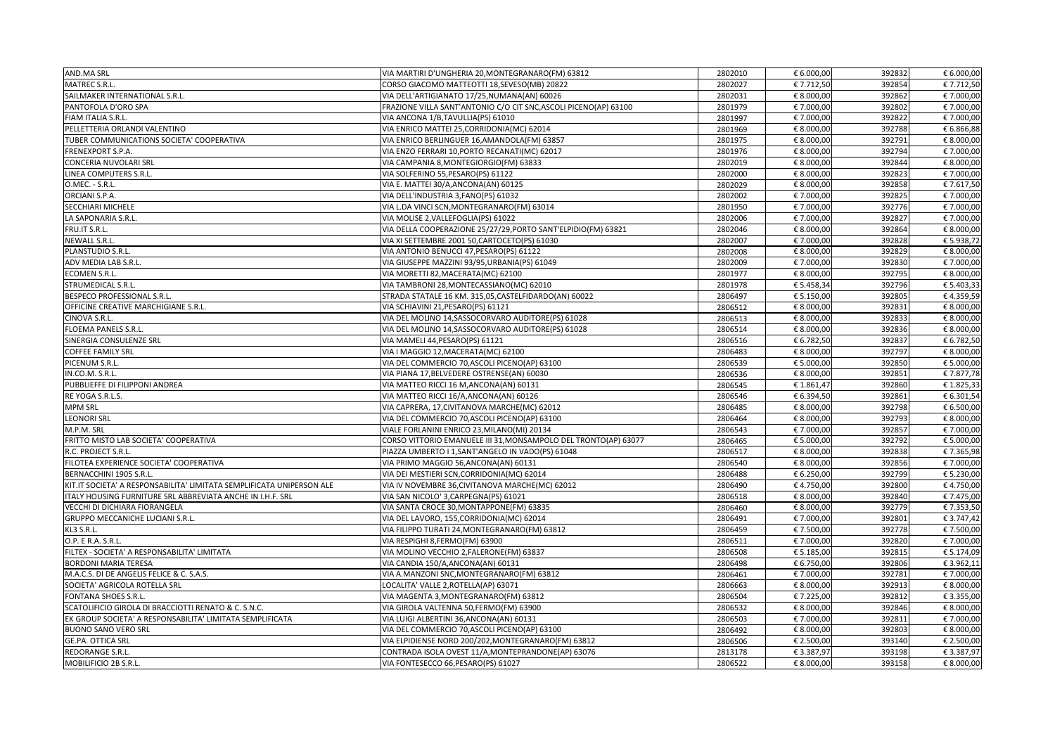| <b>AND.MA SRL</b>                                                     | VIA MARTIRI D'UNGHERIA 20, MONTEGRANARO (FM) 63812               | 2802010 | € 6.000,00               | 392832 | € 6.000,00               |
|-----------------------------------------------------------------------|------------------------------------------------------------------|---------|--------------------------|--------|--------------------------|
| MATREC S.R.L.                                                         | CORSO GIACOMO MATTEOTTI 18, SEVESO(MB) 20822                     | 2802027 | € 7.712,50               | 392854 | € 7.712,50               |
| SAILMAKER INTERNATIONAL S.R.L.                                        | VIA DELL'ARTIGIANATO 17/25, NUMANA(AN) 60026                     | 2802031 | € 8.000,00               | 392862 | € 7.000,00               |
| PANTOFOLA D'ORO SPA                                                   | FRAZIONE VILLA SANT'ANTONIO C/O CIT SNC, ASCOLI PICENO(AP) 63100 | 2801979 | € 7.000,00               | 392802 | € 7.000,00               |
| FIAM ITALIA S.R.L.                                                    | VIA ANCONA 1/B, TAVULLIA(PS) 61010                               | 2801997 | € 7.000,00               | 392822 | € 7.000,00               |
| PELLETTERIA ORLANDI VALENTINO                                         | VIA ENRICO MATTEI 25, CORRIDONIA (MC) 62014                      | 2801969 | € 8.000,00               | 392788 | € 6.866,88               |
| <b>TUBER COMMUNICATIONS SOCIETA' COOPERATIVA</b>                      | VIA ENRICO BERLINGUER 16, AMANDOLA (FM) 63857                    | 2801975 | € 8.000,00               | 392791 | € 8.000,00               |
| <b>FRENEXPORT S.P.A.</b>                                              | VIA ENZO FERRARI 10, PORTO RECANATI(MC) 62017                    | 2801976 | € 8.000,00               | 392794 | € 7.000,00               |
| CONCERIA NUVOLARI SRL                                                 | VIA CAMPANIA 8, MONTEGIORGIO (FM) 63833                          | 2802019 | € 8.000,00               | 392844 | € 8.000,00               |
| LINEA COMPUTERS S.R.L.                                                | VIA SOLFERINO 55, PESARO(PS) 61122                               | 2802000 | € 8.000,00               | 392823 | € 7.000,00               |
| O.MEC. - S.R.L.                                                       | VIA E. MATTEI 30/A, ANCONA(AN) 60125                             | 2802029 | € 8.000,00               | 392858 | € 7.617,50               |
| ORCIANI S.P.A.                                                        | VIA DELL'INDUSTRIA 3, FANO(PS) 61032                             | 2802002 | € 7.000,00               | 392825 | € 7.000,00               |
| <b>SECCHIARI MICHELE</b>                                              | VIA L.DA VINCI SCN, MONTEGRANARO (FM) 63014                      | 2801950 | € 7.000,00               | 392776 | € 7.000,00               |
| LA SAPONARIA S.R.L.                                                   | VIA MOLISE 2, VALLEFOGLIA(PS) 61022                              | 2802006 | € 7.000,00               | 392827 | € 7.000,00               |
| FRU.IT S.R.L.                                                         | VIA DELLA COOPERAZIONE 25/27/29, PORTO SANT'ELPIDIO(FM) 63821    | 2802046 | € 8.000,00               | 392864 | € 8.000,00               |
| NEWALL S.R.L.                                                         | VIA XI SETTEMBRE 2001 50, CARTOCETO (PS) 61030                   | 2802007 | € 7.000,00               | 392828 | € 5.938,72               |
| PLANSTUDIO S.R.L.                                                     | VIA ANTONIO BENUCCI 47, PESARO(PS) 61122                         | 2802008 | € 8.000,00               | 392829 | € 8.000,00               |
| ADV MEDIA LAB S.R.L.                                                  | VIA GIUSEPPE MAZZINI 93/95, URBANIA(PS) 61049                    | 2802009 | € 7.000,00               | 392830 | € 7.000,00               |
| <b>ECOMEN S.R.L.</b>                                                  | VIA MORETTI 82, MACERATA(MC) 62100                               | 2801977 | € 8.000,00               | 392795 | € 8.000,00               |
| <b>STRUMEDICAL S.R.L</b>                                              | VIA TAMBRONI 28, MONTECASSIANO (MC) 62010                        | 2801978 | € 5.458,34               | 392796 | € 5.403,33               |
| <b>BESPECO PROFESSIONAL S.R.L.</b>                                    | STRADA STATALE 16 KM. 315,05, CASTELFIDARDO(AN) 60022            | 2806497 | € 5.150,00               | 392805 | €4.359,59                |
| <b>OFFICINE CREATIVE MARCHIGIANE S.R.L.</b>                           | VIA SCHIAVINI 21, PESARO(PS) 61121                               | 2806512 | € 8.000,00               | 392831 | € 8.000,00               |
| <b>CINOVA S.R.L.</b>                                                  | VIA DEL MOLINO 14, SASSOCORVARO AUDITORE(PS) 61028               | 2806513 | € 8.000,00               | 392833 | € 8.000,00               |
| <b>FLOEMA PANELS S.R.L.</b>                                           | VIA DEL MOLINO 14, SASSOCORVARO AUDITORE(PS) 61028               | 2806514 | € 8.000,00               | 392836 | € 8.000,00               |
| SINERGIA CONSULENZE SRL                                               | VIA MAMELI 44, PESARO(PS) 61121                                  | 2806516 |                          | 392837 |                          |
| <b>COFFEE FAMILY SRL</b>                                              | VIA I MAGGIO 12, MACERATA(MC) 62100                              |         | € 6.782,50<br>€ 8.000,00 | 392797 | € 6.782,50<br>€ 8.000,00 |
| PICENUM S.R.L.                                                        |                                                                  | 2806483 |                          | 392850 |                          |
|                                                                       | VIA DEL COMMERCIO 70, ASCOLI PICENO(AP) 63100                    | 2806539 | € 5.000,00               |        | € 5.000,00               |
| IN.CO.M. S.R.L.                                                       | VIA PIANA 17, BELVEDERE OSTRENSE(AN) 60030                       | 2806536 | € 8.000,00               | 392851 | € 7.877,78               |
| PUBBLIEFFE DI FILIPPONI ANDREA                                        | VIA MATTEO RICCI 16 M, ANCONA(AN) 60131                          | 2806545 | € 1.861,47               | 392860 | € 1.825,33               |
| RE YOGA S.R.L.S.                                                      | VIA MATTEO RICCI 16/A, ANCONA(AN) 60126                          | 2806546 | € 6.394,50               | 392861 | € 6.301,54               |
| <b>MPM SRL</b>                                                        | VIA CAPRERA, 17, CIVITANOVA MARCHE(MC) 62012                     | 2806485 | € 8.000,00               | 392798 | € 6.500,00               |
| <b>LEONORI SRL</b>                                                    | VIA DEL COMMERCIO 70, ASCOLI PICENO(AP) 63100                    | 2806464 | € 8.000,00               | 392793 | € 8.000,00               |
| M.P.M. SRL                                                            | VIALE FORLANINI ENRICO 23, MILANO(MI) 20134                      | 2806543 | € 7.000,00               | 392857 | € 7.000,00               |
| FRITTO MISTO LAB SOCIETA' COOPERATIVA                                 | CORSO VITTORIO EMANUELE III 31, MONSAMPOLO DEL TRONTO(AP) 63077  | 2806465 | € 5.000,00               | 392792 | € 5.000,00               |
| R.C. PROJECT S.R.L.                                                   | PIAZZA UMBERTO I 1, SANT'ANGELO IN VADO(PS) 61048                | 2806517 | € 8.000,00               | 392838 | €7.365,98                |
| FILOTEA EXPERIENCE SOCIETA' COOPERATIVA                               | VIA PRIMO MAGGIO 56, ANCONA(AN) 60131                            | 2806540 | € 8.000,00               | 392856 | € 7.000,00               |
| BERNACCHINI 1905 S.R.L.                                               | VIA DEI MESTIERI SCN, CORRIDONIA (MC) 62014                      | 2806488 | € 6.250,00               | 392799 | € 5.230,00               |
| KIT.IT SOCIETA' A RESPONSABILITA' LIMITATA SEMPLIFICATA UNIPERSON ALE | VIA IV NOVEMBRE 36, CIVITANOVA MARCHE(MC) 62012                  | 2806490 | €4.750,00                | 392800 | €4.750,00                |
| ITALY HOUSING FURNITURE SRL ABBREVIATA ANCHE IN I.H.F. SRL            | VIA SAN NICOLO' 3, CARPEGNA(PS) 61021                            | 2806518 | € 8.000,00               | 392840 | € 7.475,00               |
| <b>VECCHI DI DICHIARA FIORANGELA</b>                                  | VIA SANTA CROCE 30, MONTAPPONE(FM) 63835                         | 2806460 | € 8.000,00               | 392779 | € 7.353,50               |
| <b>GRUPPO MECCANICHE LUCIANI S.R.L.</b>                               | VIA DEL LAVORO, 155, CORRIDONIA (MC) 62014                       | 2806491 | € 7.000,00               | 392801 | € 3.747,42               |
| KL3 S.R.L.                                                            | VIA FILIPPO TURATI 24, MONTEGRANARO (FM) 63812                   | 2806459 | € 7.500,00               | 392778 | € 7.500,00               |
| O.P. E R.A. S.R.L.                                                    | VIA RESPIGHI 8, FERMO(FM) 63900                                  | 2806511 | € 7.000,00               | 392820 | € 7.000,00               |
| FILTEX - SOCIETA' A RESPONSABILITA' LIMITATA                          | VIA MOLINO VECCHIO 2, FALERONE(FM) 63837                         | 2806508 | € 5.185,00               | 392815 | € 5.174,09               |
| <b>BORDONI MARIA TERESA</b>                                           | VIA CANDIA 150/A, ANCONA(AN) 60131                               | 2806498 | € 6.750,00               | 392806 | € 3.962,11               |
| M.A.C.S. DI DE ANGELIS FELICE & C. S.A.S.                             | VIA A.MANZONI SNC, MONTEGRANARO (FM) 63812                       | 2806461 | € 7.000,00               | 392781 | € 7.000,00               |
| SOCIETA' AGRICOLA ROTELLA SRL                                         | LOCALITA' VALLE 2, ROTELLA(AP) 63071                             | 2806663 | € 8.000,00               | 392913 | € 8.000,00               |
| <b>FONTANA SHOES S.R.L.</b>                                           | VIA MAGENTA 3, MONTEGRANARO (FM) 63812                           | 2806504 | € 7.225,00               | 392812 | € 3.355,00               |
| SCATOLIFICIO GIROLA DI BRACCIOTTI RENATO & C. S.N.C.                  | VIA GIROLA VALTENNA 50,FERMO(FM) 63900                           | 2806532 | € 8.000,00               | 392846 | € 8.000,00               |
| EK GROUP SOCIETA' A RESPONSABILITA' LIMITATA SEMPLIFICATA             | VIA LUIGI ALBERTINI 36, ANCONA(AN) 60131                         | 2806503 | € 7.000,00               | 392811 | € 7.000,00               |
| <b>BUONO SANO VERO SRL</b>                                            | VIA DEL COMMERCIO 70, ASCOLI PICENO(AP) 63100                    | 2806492 | € 8.000,00               | 392803 | € 8.000,00               |
| <b>GE.PA. OTTICA SRL</b>                                              | VIA ELPIDIENSE NORD 200/202, MONTEGRANARO (FM) 63812             | 2806506 | € 2.500,00               | 393140 | € 2.500,00               |
| <b>REDORANGE S.R.L.</b>                                               | CONTRADA ISOLA OVEST 11/A, MONTEPRANDONE(AP) 63076               | 2813178 | € 3.387,97               | 393198 | € 3.387,97               |
| MOBILIFICIO 2B S.R.L.                                                 | VIA FONTESECCO 66, PESARO(PS) 61027                              | 2806522 | € 8.000,00               | 393158 | € 8.000,00               |
|                                                                       |                                                                  |         |                          |        |                          |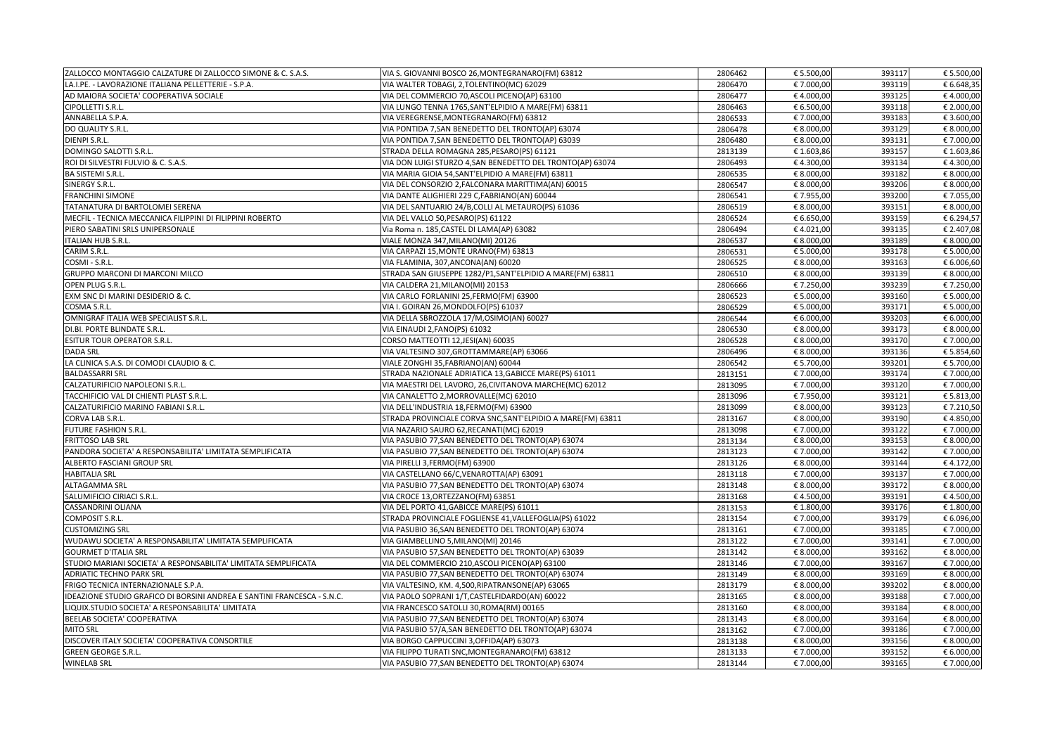| ZALLOCCO MONTAGGIO CALZATURE DI ZALLOCCO SIMONE & C. S.A.S.             | VIA S. GIOVANNI BOSCO 26, MONTEGRANARO (FM) 63812           | 2806462 | € 5.500,00 | 393117 | € 5.500,00 |
|-------------------------------------------------------------------------|-------------------------------------------------------------|---------|------------|--------|------------|
| LA.I.PE. - LAVORAZIONE ITALIANA PELLETTERIE - S.P.A.                    | VIA WALTER TOBAGI, 2, TOLENTINO(MC) 62029                   | 2806470 | € 7.000,00 | 393119 | € 6.648,35 |
| AD MAIORA SOCIETA' COOPERATIVA SOCIALE                                  | VIA DEL COMMERCIO 70, ASCOLI PICENO(AP) 63100               | 2806477 | €4.000,00  | 393125 | €4.000,00  |
| <b>CIPOLLETTI S.R.L.</b>                                                | VIA LUNGO TENNA 1765, SANT'ELPIDIO A MARE(FM) 63811         | 2806463 | € 6.500,00 | 393118 | € 2.000,00 |
| ANNABELLA S.P.A.                                                        | VIA VEREGRENSE, MONTEGRANARO (FM) 63812                     | 2806533 | € 7.000,00 | 393183 | € 3.600,00 |
| DO QUALITY S.R.L.                                                       | VIA PONTIDA 7, SAN BENEDETTO DEL TRONTO(AP) 63074           | 2806478 | € 8.000,00 | 393129 | € 8.000,00 |
| <b>DIENPI S.R.L.</b>                                                    | VIA PONTIDA 7, SAN BENEDETTO DEL TRONTO(AP) 63039           | 2806480 | € 8.000,00 | 393131 | € 7.000,00 |
| DOMINGO SALOTTI S.R.L.                                                  | STRADA DELLA ROMAGNA 285, PESARO(PS) 61121                  | 2813139 | € 1.603,86 | 393157 | € 1.603,86 |
| ROI DI SILVESTRI FULVIO & C. S.A.S.                                     | VIA DON LUIGI STURZO 4, SAN BENEDETTO DEL TRONTO(AP) 63074  | 2806493 | €4.300,00  | 393134 | €4.300,00  |
| <b>BA SISTEMI S.R.L.</b>                                                | VIA MARIA GIOIA 54, SANT'ELPIDIO A MARE(FM) 63811           | 2806535 | € 8.000,00 | 393182 | € 8.000,00 |
| SINERGY S.R.L.                                                          | VIA DEL CONSORZIO 2, FALCONARA MARITTIMA(AN) 60015          | 2806547 | € 8.000,00 | 393206 | € 8.000,00 |
| <b>FRANCHINI SIMONE</b>                                                 | VIA DANTE ALIGHIERI 229 C, FABRIANO(AN) 60044               | 2806541 | € 7.955,00 | 393200 | € 7.055,00 |
| TATANATURA DI BARTOLOMEI SERENA                                         | VIA DEL SANTUARIO 24/B, COLLI AL METAURO(PS) 61036          | 2806519 | € 8.000,00 | 393151 | € 8.000,00 |
| MECFIL - TECNICA MECCANICA FILIPPINI DI FILIPPINI ROBERTO               | VIA DEL VALLO 50, PESARO(PS) 61122                          | 2806524 | € 6.650,00 | 393159 | € 6.294,57 |
| PIERO SABATINI SRLS UNIPERSONALE                                        | Via Roma n. 185, CASTEL DI LAMA(AP) 63082                   | 2806494 | €4.021,00  | 393135 | € 2.407,08 |
| <b>ITALIAN HUB S.R.L.</b>                                               | VIALE MONZA 347, MILANO(MI) 20126                           | 2806537 | € 8.000,00 | 393189 | € 8.000,00 |
| CARIM S.R.L.                                                            | VIA CARPAZI 15, MONTE URANO(FM) 63813                       | 2806531 | € 5.000,00 | 393178 | € 5.000,00 |
| COSMI - S.R.L.                                                          | VIA FLAMINIA, 307, ANCONA(AN) 60020                         | 2806525 | € 8.000,00 | 393163 | € 6.006,60 |
| <b>GRUPPO MARCONI DI MARCONI MILCO</b>                                  | STRADA SAN GIUSEPPE 1282/P1, SANT'ELPIDIO A MARE(FM) 63811  | 2806510 | € 8.000,00 | 393139 | € 8.000,00 |
| <b>OPEN PLUG S.R.L.</b>                                                 | VIA CALDERA 21, MILANO(MI) 20153                            | 2806666 | € 7.250,00 | 393239 | € 7.250,00 |
| EXM SNC DI MARINI DESIDERIO & C.                                        | VIA CARLO FORLANINI 25, FERMO(FM) 63900                     | 2806523 | € 5.000,00 | 393160 | € 5.000,00 |
| COSMA S.R.L.                                                            | VIA I. GOIRAN 26, MONDOLFO(PS) 61037                        | 2806529 | € 5.000,00 | 393171 | € 5.000,00 |
| OMNIGRAF ITALIA WEB SPECIALIST S.R.L.                                   | VIA DELLA SBROZZOLA 17/M, OSIMO(AN) 60027                   | 2806544 | € 6.000,00 | 393203 | € 6.000,00 |
| DI.BI. PORTE BLINDATE S.R.L.                                            | VIA EINAUDI 2, FANO(PS) 61032                               | 2806530 | € 8.000,00 | 393173 | € 8.000,00 |
| <b>ESITUR TOUR OPERATOR S.R.L.</b>                                      | CORSO MATTEOTTI 12, JESI(AN) 60035                          | 2806528 | € 8.000,00 | 393170 | € 7.000,00 |
| <b>DADA SRL</b>                                                         | VIA VALTESINO 307, GROTTAMMARE(AP) 63066                    | 2806496 | € 8.000,00 | 393136 | € 5.854,60 |
| LA CLINICA S.A.S. DI COMODI CLAUDIO & C.                                | VIALE ZONGHI 35, FABRIANO(AN) 60044                         | 2806542 | € 5.700,00 | 393201 | € 5.700,00 |
| <b>BALDASSARRI SRL</b>                                                  | STRADA NAZIONALE ADRIATICA 13, GABICCE MARE(PS) 61011       | 2813151 | € 7.000,00 | 393174 | € 7.000,00 |
| CALZATURIFICIO NAPOLEONI S.R.L.                                         | VIA MAESTRI DEL LAVORO, 26, CIVITANOVA MARCHE(MC) 62012     | 2813095 | € 7.000,00 | 393120 | € 7.000,00 |
| TACCHIFICIO VAL DI CHIENTI PLAST S.R.L.                                 | VIA CANALETTO 2, MORROVALLE (MC) 62010                      | 2813096 | € 7.950,00 | 393121 | € 5.813,00 |
| CALZATURIFICIO MARINO FABIANI S.R.L.                                    | VIA DELL'INDUSTRIA 18, FERMO(FM) 63900                      | 2813099 | € 8.000,00 | 393123 | € 7.210,50 |
| CORVA LAB S.R.L.                                                        | STRADA PROVINCIALE CORVA SNC, SANT'ELPIDIO A MARE(FM) 63811 | 2813167 | € 8.000,00 | 393190 | €4.850,00  |
| FUTURE FASHION S.R.L.                                                   | VIA NAZARIO SAURO 62, RECANATI(MC) 62019                    | 2813098 | € 7.000,00 | 393122 | € 7.000,00 |
| <b>FRITTOSO LAB SRL</b>                                                 | VIA PASUBIO 77, SAN BENEDETTO DEL TRONTO(AP) 63074          | 2813134 | € 8.000,00 | 393153 | € 8.000,00 |
| PANDORA SOCIETA' A RESPONSABILITA' LIMITATA SEMPLIFICATA                | VIA PASUBIO 77, SAN BENEDETTO DEL TRONTO(AP) 63074          | 2813123 | € 7.000,00 | 393142 | € 7.000,00 |
| <b>ALBERTO FASCIANI GROUP SRL</b>                                       | VIA PIRELLI 3, FERMO(FM) 63900                              | 2813126 | € 8.000,00 | 393144 | € 4.172,00 |
| <b>HABITALIA SRL</b>                                                    | VIA CASTELLANO 66/C, VENAROTTA(AP) 63091                    | 2813118 | € 7.000,00 | 393137 | € 7.000,00 |
| <b>ALTAGAMMA SRL</b>                                                    | VIA PASUBIO 77, SAN BENEDETTO DEL TRONTO(AP) 63074          | 2813148 | € 8.000,00 | 393172 | € 8.000,00 |
| SALUMIFICIO CIRIACI S.R.L.                                              | VIA CROCE 13, ORTEZZANO (FM) 63851                          | 2813168 | €4.500,00  | 393191 | €4.500,00  |
| <b>CASSANDRINI OLIANA</b>                                               | VIA DEL PORTO 41, GABICCE MARE(PS) 61011                    | 2813153 | € 1.800,00 | 393176 | € 1.800,00 |
| COMPOSIT S.R.L.                                                         | STRADA PROVINCIALE FOGLIENSE 41, VALLEFOGLIA(PS) 61022      |         | € 7.000,00 | 393179 | € 6.096,00 |
| <b>CUSTOMIZING SRL</b>                                                  |                                                             | 2813154 |            |        |            |
|                                                                         | VIA PASUBIO 36, SAN BENEDETTO DEL TRONTO(AP) 63074          | 2813161 | € 7.000,00 | 393185 | € 7.000,00 |
| WUDAWU SOCIETA' A RESPONSABILITA' LIMITATA SEMPLIFICATA                 | VIA GIAMBELLINO 5, MILANO (MI) 20146                        | 2813122 | € 7.000,00 | 393141 | € 7.000,00 |
| <b>GOURMET D'ITALIA SRL</b>                                             | VIA PASUBIO 57, SAN BENEDETTO DEL TRONTO(AP) 63039          | 2813142 | € 8.000,00 | 393162 | € 8.000,00 |
| STUDIO MARIANI SOCIETA' A RESPONSABILITA' LIMITATA SEMPLIFICATA         | VIA DEL COMMERCIO 210, ASCOLI PICENO(AP) 63100              | 2813146 | € 7.000,00 | 393167 | € 7.000,00 |
| <b>ADRIATIC TECHNO PARK SRL</b>                                         | VIA PASUBIO 77, SAN BENEDETTO DEL TRONTO(AP) 63074          | 2813149 | € 8.000,00 | 393169 | € 8.000,00 |
| FRIGO TECNICA INTERNAZIONALE S.P.A.                                     | VIA VALTESINO, KM. 4,500, RIPATRANSONE (AP) 63065           | 2813179 | € 8.000,00 | 393202 | € 8.000,00 |
| IDEAZIONE STUDIO GRAFICO DI BORSINI ANDREA E SANTINI FRANCESCA - S.N.C. | VIA PAOLO SOPRANI 1/T, CASTELFIDARDO (AN) 60022             | 2813165 | € 8.000,00 | 393188 | € 7.000,00 |
| LIQUIX.STUDIO SOCIETA' A RESPONSABILITA' LIMITATA                       | VIA FRANCESCO SATOLLI 30, ROMA(RM) 00165                    | 2813160 | € 8.000,00 | 393184 | € 8.000,00 |
| <b>BEELAB SOCIETA' COOPERATIVA</b>                                      | VIA PASUBIO 77, SAN BENEDETTO DEL TRONTO(AP) 63074          | 2813143 | € 8.000,00 | 393164 | € 8.000,00 |
| <b>MITO SRL</b>                                                         | VIA PASUBIO 57/A, SAN BENEDETTO DEL TRONTO(AP) 63074        | 2813162 | € 7.000,00 | 393186 | € 7.000,00 |
| DISCOVER ITALY SOCIETA' COOPERATIVA CONSORTILE                          | VIA BORGO CAPPUCCINI 3, OFFIDA(AP) 63073                    | 2813138 | € 8.000,00 | 393156 | € 8.000,00 |
| <b>GREEN GEORGE S.R.L.</b>                                              | VIA FILIPPO TURATI SNC, MONTEGRANARO (FM) 63812             | 2813133 | € 7.000,00 | 393152 | € 6.000,00 |
| <b>WINELAB SRL</b>                                                      | VIA PASUBIO 77, SAN BENEDETTO DEL TRONTO(AP) 63074          | 2813144 | € 7.000,00 | 393165 | € 7.000,00 |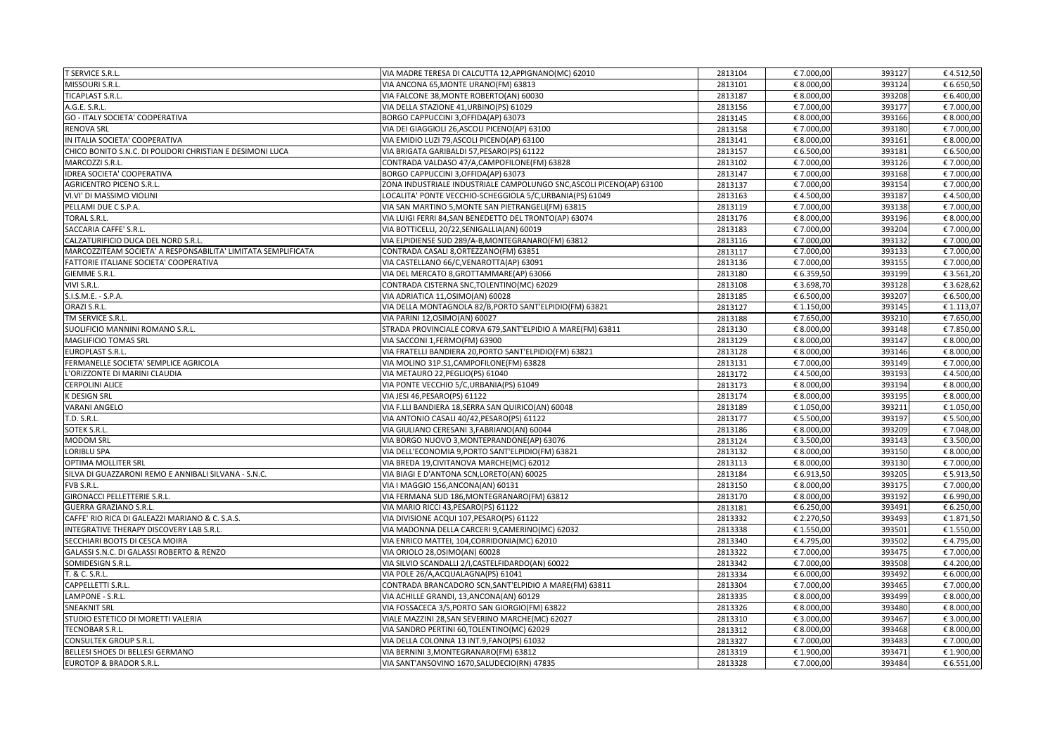| <b>T SERVICE S.R.L.</b>                                       | VIA MADRE TERESA DI CALCUTTA 12, APPIGNANO (MC) 62010                | 2813104            | € 7.000,00               | 393127           | €4.512,50  |
|---------------------------------------------------------------|----------------------------------------------------------------------|--------------------|--------------------------|------------------|------------|
| MISSOURI S.R.L.                                               | VIA ANCONA 65, MONTE URANO(FM) 63813                                 | 2813101            | € 8.000,00               | 393124           | € 6.650,50 |
| TICAPLAST S.R.L.                                              | VIA FALCONE 38, MONTE ROBERTO(AN) 60030                              | 2813187            | € 8.000,00               | 393208           | € 6.400,00 |
| A.G.E. S.R.L.                                                 | VIA DELLA STAZIONE 41, URBINO(PS) 61029                              | 2813156            | € 7.000,00               | 393177           | € 7.000,00 |
| <b>GO - ITALY SOCIETA' COOPERATIVA</b>                        | BORGO CAPPUCCINI 3, OFFIDA(AP) 63073                                 | 2813145            | € 8.000,00               | 393166           | € 8.000,00 |
| <b>RENOVA SRL</b>                                             | VIA DEI GIAGGIOLI 26, ASCOLI PICENO(AP) 63100                        | 2813158            | € 7.000,00               | 393180           | € 7.000,00 |
| IN ITALIA SOCIETA' COOPERATIVA                                | VIA EMIDIO LUZI 79, ASCOLI PICENO(AP) 63100                          | 2813141            | € 8.000,00               | 393161           | € 8.000,00 |
| CHICO BONITO S.N.C. DI POLIDORI CHRISTIAN E DESIMONI LUCA     | VIA BRIGATA GARIBALDI 57, PESARO(PS) 61122                           | 2813157            | € 6.500,00               | 393181           | € 6.500,00 |
| MARCOZZI S.R.L.                                               | CONTRADA VALDASO 47/A,CAMPOFILONE(FM) 63828                          | 2813102            | € 7.000,00               | 393126           | € 7.000,00 |
| <b>IDREA SOCIETA' COOPERATIVA</b>                             | BORGO CAPPUCCINI 3, OFFIDA(AP) 63073                                 | 2813147            | € 7.000,00               | 393168           | € 7.000,00 |
| <b>AGRICENTRO PICENO S.R.L.</b>                               | ZONA INDUSTRIALE INDUSTRIALE CAMPOLUNGO SNC, ASCOLI PICENO(AP) 63100 | 2813137            | € 7.000,00               | 393154           | € 7.000,00 |
| VI.VI' DI MASSIMO VIOLINI                                     | LOCALITA' PONTE VECCHIO-SCHEGGIOLA 5/C, URBANIA(PS) 61049            | 2813163            | €4.500,00                | 393187           | €4.500,00  |
| PELLAMI DUE C S.P.A.                                          | VIA SAN MARTINO 5, MONTE SAN PIETRANGELI(FM) 63815                   | 2813119            | € 7.000,00               | 393138           | € 7.000,00 |
| <b>TORAL S.R.L.</b>                                           | VIA LUIGI FERRI 84, SAN BENEDETTO DEL TRONTO(AP) 63074               | 2813176            | € 8.000,00               | 393196           | € 8.000,00 |
| SACCARIA CAFFE' S.R.L.                                        | VIA BOTTICELLI, 20/22, SENIGALLIA(AN) 60019                          | 2813183            | € 7.000,00               | 393204           | € 7.000,00 |
| CALZATURIFICIO DUCA DEL NORD S.R.L.                           | VIA ELPIDIENSE SUD 289/A-B, MONTEGRANARO (FM) 63812                  | 2813116            | € 7.000,00               | 393132           | € 7.000,00 |
| MARCOZZITEAM SOCIETA' A RESPONSABILITA' LIMITATA SEMPLIFICATA | CONTRADA CASALI 8, ORTEZZANO (FM) 63851                              | 2813117            | € 7.000,00               | 393133           | € 7.000,00 |
| FATTORIE ITALIANE SOCIETA' COOPERATIVA                        | VIA CASTELLANO 66/C, VENAROTTA(AP) 63091                             | 2813136            | € 7.000,00               | 393155           | € 7.000,00 |
| <b>GIEMME S.R.L.</b>                                          | VIA DEL MERCATO 8, GROTTAMMARE(AP) 63066                             | 2813180            | € 6.359,50               | 393199           | € 3.561,20 |
| VIVI S.R.L.                                                   | CONTRADA CISTERNA SNC, TOLENTINO(MC) 62029                           | 2813108            | € 3.698,70               | 393128           | € 3.628,62 |
| S.I.S.M.E. - S.P.A.                                           | VIA ADRIATICA 11, OSIMO(AN) 60028                                    | 2813185            | € 6.500,00               | 393207           | € 6.500,00 |
| ORAZI S.R.L.                                                  | VIA DELLA MONTAGNOLA 82/B, PORTO SANT'ELPIDIO(FM) 63821              | 2813127            | € 1.150,00               | 393145           | € 1.113,07 |
| TM SERVICE S.R.L.                                             | VIA PARINI 12, OSIMO (AN) 60027                                      | 2813188            | € 7.650,00               | 393210           | € 7.650,00 |
| SUOLIFICIO MANNINI ROMANO S.R.L.                              | STRADA PROVINCIALE CORVA 679, SANT'ELPIDIO A MARE(FM) 63811          | 2813130            | € 8.000,00               | 393148           | € 7.850,00 |
| <b>MAGLIFICIO TOMAS SRL</b>                                   | VIA SACCONI 1, FERMO(FM) 63900                                       | 2813129            | € 8.000,00               | 393147           | € 8.000,00 |
| <b>EUROPLAST S.R.L.</b>                                       | VIA FRATELLI BANDIERA 20, PORTO SANT'ELPIDIO(FM) 63821               | 2813128            | € 8.000,00               | 393146           | € 8.000,00 |
| FERMANELLE SOCIETA' SEMPLICE AGRICOLA                         | VIA MOLINO 31P.S1, CAMPOFILONE (FM) 63828                            | 2813131            | € 7.000,00               | 393149           | € 7.000,00 |
| L'ORIZZONTE DI MARINI CLAUDIA                                 | VIA METAURO 22, PEGLIO(PS) 61040                                     | 2813172            | €4.500,00                | 393193           | €4.500,00  |
| <b>CERPOLINI ALICE</b>                                        | VIA PONTE VECCHIO 5/C, URBANIA(PS) 61049                             | 2813173            | € 8.000,00               | 393194           | € 8.000,00 |
| <b>K DESIGN SRL</b>                                           | VIA JESI 46, PESARO(PS) 61122                                        | 2813174            | € 8.000,00               | 393195           | € 8.000,00 |
| <b>VARANI ANGELO</b>                                          | VIA F.LLI BANDIERA 18, SERRA SAN QUIRICO(AN) 60048                   | 2813189            | € 1.050,00               | 393211           | € 1.050,00 |
| <b>T.D. S.R.L.</b>                                            | VIA ANTONIO CASALI 40/42, PESARO(PS) 61122                           | 2813177            | € 5.500,00               | 393197           | € 5.500,00 |
| SOTEK S.R.L.                                                  | VIA GIULIANO CERESANI 3, FABRIANO (AN) 60044                         | 2813186            | € 8.000,00               | 393209           | € 7.048,00 |
| <b>MODOM SRL</b>                                              | VIA BORGO NUOVO 3, MONTEPRANDONE(AP) 63076                           | 2813124            | € 3.500,00               | 393143           | € 3.500,00 |
| LORIBLU SPA                                                   | VIA DELL'ECONOMIA 9, PORTO SANT'ELPIDIO (FM) 63821                   | 2813132            | € 8.000,00               | 393150           | € 8.000,00 |
| <b>OPTIMA MOLLITER SRL</b>                                    | VIA BREDA 19, CIVITANOVA MARCHE(MC) 62012                            | 2813113            | € 8.000,00               | 393130           | € 7.000,00 |
| SILVA DI GUAZZARONI REMO E ANNIBALI SILVANA - S.N.C.          | VIA BIAGI E D'ANTONA SCN, LORETO(AN) 60025                           | 2813184            | € 6.913,50               | 393205           | € 5.913,50 |
| FVB S.R.L.                                                    | VIA I MAGGIO 156, ANCONA(AN) 60131                                   | 2813150            | € 8.000,00               | 393175           | € 7.000,00 |
| <b>GIRONACCI PELLETTERIE S.R.L.</b>                           | VIA FERMANA SUD 186, MONTEGRANARO (FM) 63812                         | 2813170            | € 8.000,00               | 393192           | € 6.990,00 |
| <b>GUERRA GRAZIANO S.R.L.</b>                                 | VIA MARIO RICCI 43, PESARO(PS) 61122                                 | 2813181            | € 6.250,00               | 393491           | € 6.250,00 |
| CAFFE' RIO RICA DI GALEAZZI MARIANO & C. S.A.S.               | VIA DIVISIONE ACQUI 107, PESARO(PS) 61122                            | 2813332            | € 2.270,50               | 393493           | € 1.871,50 |
| INTEGRATIVE THERAPY DISCOVERY LAB S.R.L.                      | VIA MADONNA DELLA CARCERI 9, CAMERINO (MC) 62032                     | 2813338            | € 1.550,00               | 393501           | € 1.550,00 |
| <b>SECCHIARI BOOTS DI CESCA MOIRA</b>                         | VIA ENRICO MATTEI, 104, CORRIDONIA (MC) 62010                        | 2813340            | €4.795,00                | 393502           | €4.795,00  |
| <b>GALASSI S.N.C. DI GALASSI ROBERTO &amp; RENZO</b>          | VIA ORIOLO 28, OSIMO (AN) 60028                                      | 2813322            | € 7.000,00               | 393475           | € 7.000,00 |
| SOMIDESIGN S.R.L.                                             | VIA SILVIO SCANDALLI 2/I, CASTELFIDARDO(AN) 60022                    | 2813342            | € 7.000,00               | 393508           | €4.200,00  |
| T. & C. S.R.L.                                                | VIA POLE 26/A, ACQUALAGNA(PS) 61041                                  | 2813334            | € 6.000,00               | 393492           | € 6.000,00 |
| CAPPELLETTI S.R.L.                                            | CONTRADA BRANCADORO SCN, SANT'ELPIDIO A MARE(FM) 63811               |                    |                          |                  |            |
| LAMPONE - S.R.L.                                              | VIA ACHILLE GRANDI, 13, ANCONA (AN) 60129                            | 2813304<br>2813335 | € 7.000,00<br>€ 8.000,00 | 393465           | € 7.000,00 |
| <b>SNEAKNIT SRL</b>                                           | VIA FOSSACECA 3/S, PORTO SAN GIORGIO (FM) 63822                      | 2813326            | € 8.000,00               | 393499<br>393480 | € 8.000,00 |
| STUDIO ESTETICO DI MORETTI VALERIA                            | VIALE MAZZINI 28, SAN SEVERINO MARCHE(MC) 62027                      |                    |                          | 393467           | € 8.000,00 |
|                                                               |                                                                      | 2813310            | € 3.000,00               |                  | € 3.000,00 |
| TECNOBAR S.R.L.                                               | VIA SANDRO PERTINI 60, TOLENTINO (MC) 62029                          | 2813312            | € 8.000,00               | 393468           | € 8.000,00 |
| <b>CONSULTEK GROUP S.R.L.</b>                                 | VIA DELLA COLONNA 13 INT.9, FANO(PS) 61032                           | 2813327            | € 7.000,00               | 393483           | € 7.000,00 |
| <b>BELLESI SHOES DI BELLESI GERMANO</b>                       | VIA BERNINI 3, MONTEGRANARO (FM) 63812                               | 2813319            | € 1.900,00               | 393471           | € 1.900,00 |
| <b>EUROTOP &amp; BRADOR S.R.L.</b>                            | VIA SANT'ANSOVINO 1670, SALUDECIO (RN) 47835                         | 2813328            | € 7.000,00               | 393484           | € 6.551,00 |